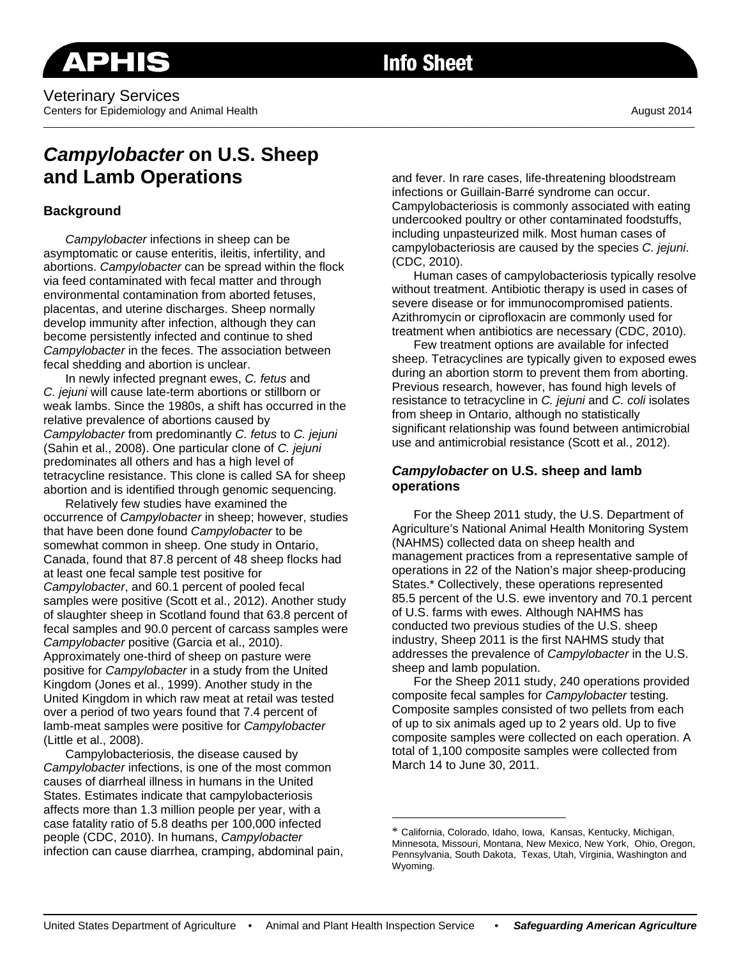## Veterinary Services Centers for Epidemiology and Animal Health August 2014 **August 2014** August 2014

**Info Sheet** 

\_\_\_\_\_\_\_\_\_\_\_\_\_\_\_\_\_\_\_\_\_\_\_\_\_\_\_\_\_\_\_\_\_\_\_\_\_\_\_\_\_\_\_\_\_\_\_\_\_\_\_\_\_\_\_\_\_\_\_\_\_\_\_\_\_\_\_\_\_\_\_\_\_\_\_\_\_\_\_\_\_\_\_\_\_\_\_\_\_\_\_\_\_\_\_\_\_\_\_\_\_\_\_\_\_\_\_\_\_\_\_\_\_\_\_\_\_\_\_\_\_

# *Campylobacter* **on U.S. Sheep and Lamb Operations**

## **Background**

*Campylobacter* infections in sheep can be asymptomatic or cause enteritis, ileitis, infertility, and abortions. *Campylobacter* can be spread within the flock via feed contaminated with fecal matter and through environmental contamination from aborted fetuses, placentas, and uterine discharges. Sheep normally develop immunity after infection, although they can become persistently infected and continue to shed *Campylobacter* in the feces. The association between fecal shedding and abortion is unclear.

In newly infected pregnant ewes, *C. fetus* and *C. jejuni* will cause late-term abortions or stillborn or weak lambs. Since the 1980s, a shift has occurred in the relative prevalence of abortions caused by *Campylobacter* from predominantly *C. fetus* to *C. jejuni* (Sahin et al., 2008). One particular clone of *C. jejuni* predominates all others and has a high level of tetracycline resistance. This clone is called SA for sheep abortion and is identified through genomic sequencing.

Relatively few studies have examined the occurrence of *Campylobacter* in sheep; however, studies that have been done found *Campylobacter* to be somewhat common in sheep. One study in Ontario, Canada, found that 87.8 percent of 48 sheep flocks had at least one fecal sample test positive for *Campylobacter*, and 60.1 percent of pooled fecal samples were positive (Scott et al., 2012). Another study of slaughter sheep in Scotland found that 63.8 percent of fecal samples and 90.0 percent of carcass samples were *Campylobacter* positive (Garcia et al., 2010). Approximately one-third of sheep on pasture were positive for *Campylobacter* in a study from the United Kingdom (Jones et al., 1999). Another study in the United Kingdom in which raw meat at retail was tested over a period of two years found that 7.4 percent of lamb-meat samples were positive for *Campylobacter* (Little et al., 2008).

Campylobacteriosis, the disease caused by *Campylobacter* infections, is one of the most common causes of diarrheal illness in humans in the United States. Estimates indicate that campylobacteriosis affects more than 1.3 million people per year, with a case fatality ratio of 5.8 deaths per 100,000 infected people (CDC, 2010). In humans, *Campylobacter* infection can cause diarrhea, cramping, abdominal pain, and fever. In rare cases, life-threatening bloodstream infections or Guillain-Barré syndrome can occur. Campylobacteriosis is commonly associated with eating undercooked poultry or other contaminated foodstuffs, including unpasteurized milk. Most human cases of campylobacteriosis are caused by the species *C. jejuni*. (CDC, 2010).

Human cases of campylobacteriosis typically resolve without treatment. Antibiotic therapy is used in cases of severe disease or for immunocompromised patients. Azithromycin or ciprofloxacin are commonly used for treatment when antibiotics are necessary (CDC, 2010).

Few treatment options are available for infected sheep. Tetracyclines are typically given to exposed ewes during an abortion storm to prevent them from aborting. Previous research, however, has found high levels of resistance to tetracycline in *C. jejuni* and *C. coli* isolates from sheep in Ontario, although no statistically significant relationship was found between antimicrobial use and antimicrobial resistance (Scott et al., 2012).

## *Campylobacter* **on U.S. sheep and lamb operations**

For the Sheep 2011 study, the U.S. Department of Agriculture's National Animal Health Monitoring System (NAHMS) collected data on sheep health and management practices from a representative sample of operations in 22 of the Nation's major sheep-producing States.\* Collectively, these operations represented 85.5 percent of the U.S. ewe inventory and 70.1 percent of U.S. farms with ewes. Although NAHMS has conducted two previous studies of the U.S. sheep industry, Sheep 2011 is the first NAHMS study that addresses the prevalence of *Campylobacter* in the U.S. sheep and lamb population.

 For the Sheep 2011 study, 240 operations provided composite fecal samples for *Campylobacter* testing*.* Composite samples consisted of two pellets from each of up to six animals aged up to 2 years old. Up to five composite samples were collected on each operation. A total of 1,100 composite samples were collected from March 14 to June 30, 2011.

 $\overline{a}$ 

<sup>\*</sup> California, Colorado, Idaho, Iowa, Kansas, Kentucky, Michigan, Minnesota, Missouri, Montana, New Mexico, New York, Ohio, Oregon, Pennsylvania, South Dakota, Texas, Utah, Virginia, Washington and Wyoming.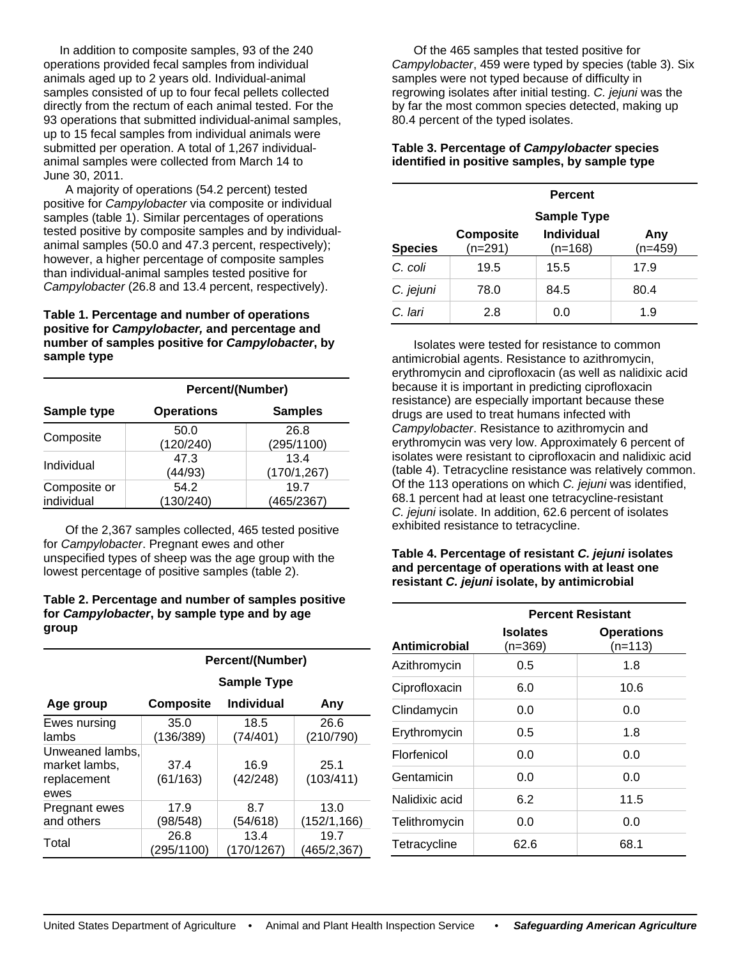In addition to composite samples, 93 of the 240 operations provided fecal samples from individual animals aged up to 2 years old. Individual-animal samples consisted of up to four fecal pellets collected directly from the rectum of each animal tested. For the 93 operations that submitted individual-animal samples, up to 15 fecal samples from individual animals were submitted per operation. A total of 1,267 individualanimal samples were collected from March 14 to June 30, 2011.

A majority of operations (54.2 percent) tested positive for *Campylobacter* via composite or individual samples (table 1). Similar percentages of operations tested positive by composite samples and by individualanimal samples (50.0 and 47.3 percent, respectively); however, a higher percentage of composite samples than individual-animal samples tested positive for *Campylobacter* (26.8 and 13.4 percent, respectively).

#### **Table 1. Percentage and number of operations positive for** *Campylobacter,* **and percentage and number of samples positive for** *Campylobacter***, by sample type**

|                            | Percent/(Number)  |                      |  |
|----------------------------|-------------------|----------------------|--|
| Sample type                | <b>Operations</b> | <b>Samples</b>       |  |
| Composite                  | 50.0<br>(120/240) | 26.8<br>(295/1100)   |  |
| Individual                 | 47.3<br>(44/93)   | 13.4<br>(170/1, 267) |  |
| Composite or<br>individual | 54.2<br>130/240   | 19.7<br>(465/2367)   |  |

 Of the 2,367 samples collected, 465 tested positive for *Campylobacter*. Pregnant ewes and other unspecified types of sheep was the age group with the lowest percentage of positive samples (table 2).

#### **Table 2. Percentage and number of samples positive for** *Campylobacter***, by sample type and by age group**

|                                                         | <b>Percent/(Number)</b> |                    |                      |
|---------------------------------------------------------|-------------------------|--------------------|----------------------|
|                                                         | Sample Type             |                    |                      |
| Age group                                               | <b>Composite</b>        | <b>Individual</b>  | Any                  |
| Ewes nursing<br>lambs                                   | 35.0<br>(136/389)       | 18.5<br>(74/401)   | 26.6<br>(210/790)    |
| Unweaned lambs,<br>market lambs,<br>replacement<br>ewes | 37.4<br>(61/163)        | 16.9<br>(42/248)   | 25.1<br>(103/411)    |
| Pregnant ewes<br>and others                             | 17.9<br>(98/548)        | 8.7<br>(54/618)    | 13.0<br>(152/1, 166) |
| Total                                                   | 26.8<br>(295/1100)      | 13.4<br>(170/1267) | 19.7<br>(465/2.367)  |

 Of the 465 samples that tested positive for *Campylobacter*, 459 were typed by species (table 3). Six samples were not typed because of difficulty in regrowing isolates after initial testing. *C. jejuni* was the by far the most common species detected, making up 80.4 percent of the typed isolates.

## **Table 3. Percentage of** *Campylobacter* **species identified in positive samples, by sample type**

|                | <b>Percent</b>                |                                                      |                  |
|----------------|-------------------------------|------------------------------------------------------|------------------|
| <b>Species</b> | <b>Composite</b><br>$(n=291)$ | <b>Sample Type</b><br><b>Individual</b><br>$(n=168)$ | Any<br>$(n=459)$ |
| C. coli        | 19.5                          | 15.5                                                 | 17.9             |
| C. jejuni      | 78.0                          | 84.5                                                 | 80.4             |
| C. Iari        | 2.8                           | 0.0                                                  | 1.9              |

 Isolates were tested for resistance to common antimicrobial agents. Resistance to azithromycin, erythromycin and ciprofloxacin (as well as nalidixic acid because it is important in predicting ciprofloxacin resistance) are especially important because these drugs are used to treat humans infected with *Campylobacter*. Resistance to azithromycin and erythromycin was very low. Approximately 6 percent of isolates were resistant to ciprofloxacin and nalidixic acid (table 4). Tetracycline resistance was relatively common. Of the 113 operations on which *C. jejuni* was identified, 68.1 percent had at least one tetracycline-resistant *C. jejuni* isolate. In addition, 62.6 percent of isolates exhibited resistance to tetracycline.

#### **Table 4. Percentage of resistant** *C. jejuni* **isolates and percentage of operations with at least one resistant** *C. jejuni* **isolate, by antimicrobial**

|                | <b>Percent Resistant</b> |                                |  |
|----------------|--------------------------|--------------------------------|--|
| Antimicrobial  | Isolates<br>$(n=369)$    | <b>Operations</b><br>$(n=113)$ |  |
| Azithromycin   | 0.5                      | 1.8                            |  |
| Ciprofloxacin  | 6.0                      | 10.6                           |  |
| Clindamycin    | 0.0                      | 0.0                            |  |
| Erythromycin   | 0.5                      | 1.8                            |  |
| Florfenicol    | 0.0                      | 0.0                            |  |
| Gentamicin     | 0.0                      | 0.0                            |  |
| Nalidixic acid | 6.2                      | 11.5                           |  |
| Telithromycin  | 0.0                      | 0.0                            |  |
| Tetracycline   | 62.6                     | 68.1                           |  |